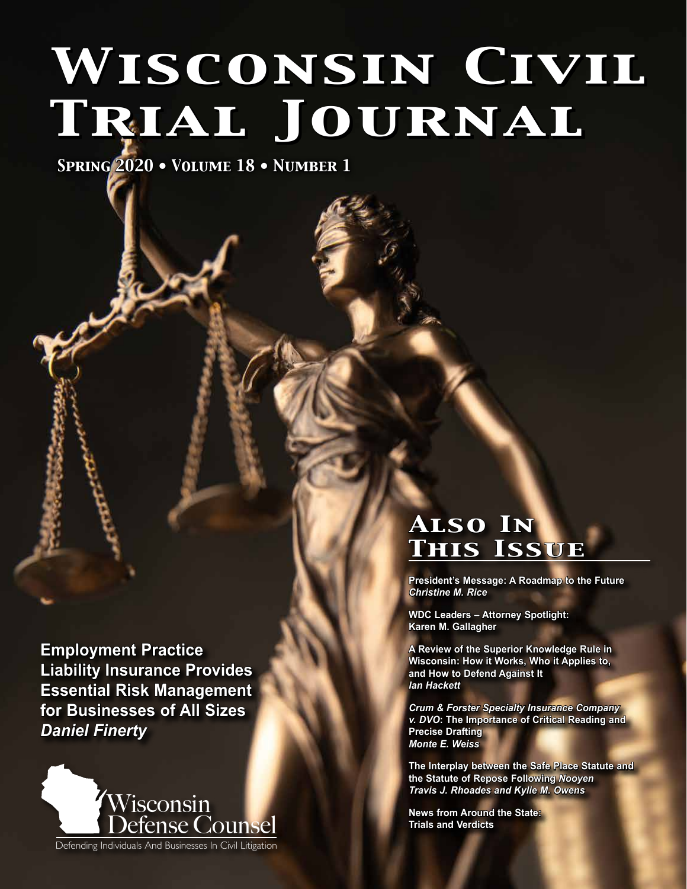# *Wisconsin Civil Trial Journal*

*Spring 2020 • Volume 18 • Number 1*

**Employment Practice Liability Insurance Provides Essential Risk Management for Businesses of All Sizes**  *Daniel Finerty*



# *Also In This Issue*

**President's Message: A Roadmap to the Future**  *Christine M. Rice*

**WDC Leaders – Attorney Spotlight: Karen M. Gallagher**

**A Review of the Superior Knowledge Rule in Wisconsin: How it Works, Who it Applies to, and How to Defend Against It**  *Ian Hackett*

*Crum & Forster Specialty Insurance Company v. DVO***: The Importance of Critical Reading and Precise Drafting**  *Monte E. Weiss*

**The Interplay between the Safe Place Statute and the Statute of Repose Following** *Nooyen* *Travis J. Rhoades and Kylie M. Owens*

**News from Around the State: Trials and Verdicts**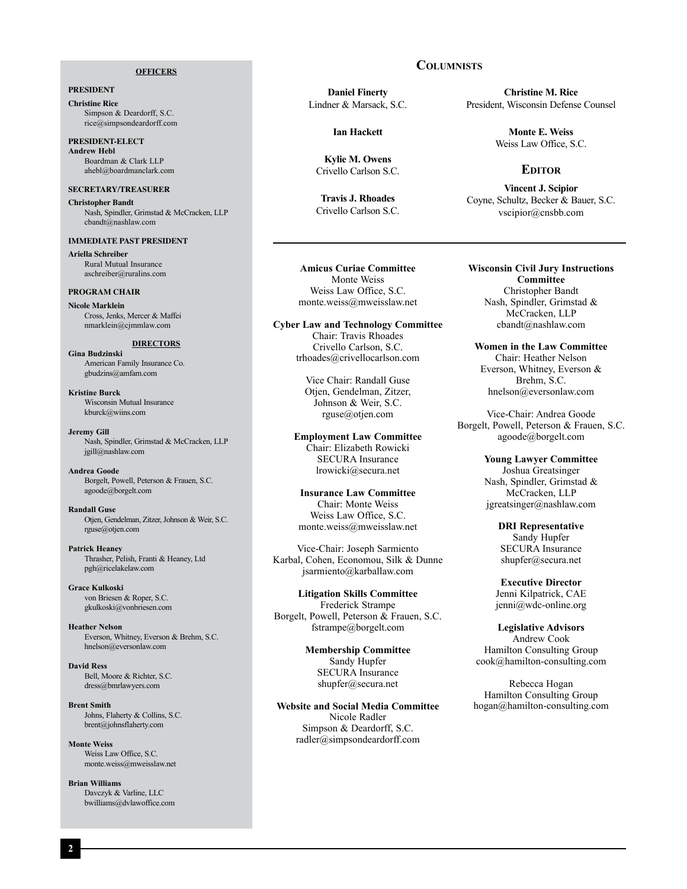#### **OFFICERS**

#### **PRESIDENT**

**Christine Rice** Simpson & Deardorff, S.C. rice@simpsondeardorff.com

**PRESIDENT-ELECT Andrew Hebl** Boardman & Clark LLP ahebl@boardmanclark.com

#### **SECRETARY/TREASURER**

**Christopher Bandt** Nash, Spindler, Grimstad & McCracken, LLP cbandt@nashlaw.com

#### **IMMEDIATE PAST PRESIDENT**

**Ariella Schreiber** Rural Mutual Insurance aschreiber@ruralins.com

#### **PROGRAM CHAIR**

**Nicole Marklein** Cross, Jenks, Mercer & Maffei nmarklein@cjmmlaw.com

#### **DIRECTORS**

**Gina Budzinski** American Family Insurance Co. gbudzins@amfam.com

**Kristine Burck** Wisconsin Mutual Insurance kburck@wiins.com

**Jeremy Gill** Nash, Spindler, Grimstad & McCracken, LLP jgill@nashlaw.com

**Andrea Goode** Borgelt, Powell, Peterson & Frauen, S.C. agoode@borgelt.com

**Randall Guse** Otjen, Gendelman, Zitzer, Johnson & Weir, S.C. rguse@otjen.com

**Patrick Heaney** Thrasher, Pelish, Franti & Heaney, Ltd pgh@ricelakelaw.com

**Grace Kulkoski** von Briesen & Roper, S.C. gkulkoski@vonbriesen.com

**Heather Nelson** Everson, Whitney, Everson & Brehm, S.C. hnelson@eversonlaw.com

**David Ress** Bell, Moore & Richter, S.C. dress@bmrlawyers.com

**Brent Smith** Johns, Flaherty & Collins, S.C. brent@johnsflaherty.com

**Monte Weiss** Weiss Law Office, S.C. monte.weiss@mweisslaw.net

**Brian Williams** Davczyk & Varline, LLC bwilliams@dvlawoffice.com

#### **Daniel Finerty** Lindner & Marsack, S.C.

**Ian Hackett**

**Kylie M. Owens** Crivello Carlson S.C.

**Travis J. Rhoades** Crivello Carlson S.C.

**Christine M. Rice** President, Wisconsin Defense Counsel

> **Monte E. Weiss** Weiss Law Office, S.C.

#### **Editor**

**Vincent J. Scipior** Coyne, Schultz, Becker & Bauer, S.C. vscipior@cnsbb.com

**Amicus Curiae Committee** Monte Weiss Weiss Law Office, S.C. monte.weiss@mweisslaw.net

**Cyber Law and Technology Committee** Chair: Travis Rhoades Crivello Carlson, S.C. trhoades@crivellocarlson.com

> Vice Chair: Randall Guse Otjen, Gendelman, Zitzer, Johnson & Weir, S.C. rguse@otjen.com

**Employment Law Committee** Chair: Elizabeth Rowicki SECURA Insurance lrowicki@secura.net

**Insurance Law Committee** Chair: Monte Weiss Weiss Law Office, S.C. monte.weiss@mweisslaw.net

Vice-Chair: Joseph Sarmiento Karbal, Cohen, Economou, Silk & Dunne jsarmiento@karballaw.com

**Litigation Skills Committee** Frederick Strampe Borgelt, Powell, Peterson & Frauen, S.C. fstrampe@borgelt.com

> **Membership Committee** Sandy Hupfer SECURA Insurance shupfer@secura.net

**Website and Social Media Committee** Nicole Radler Simpson & Deardorff, S.C. radler@simpsondeardorff.com

**Wisconsin Civil Jury Instructions Committee** Christopher Bandt Nash, Spindler, Grimstad & McCracken, LLP cbandt@nashlaw.com

**Women in the Law Committee** Chair: Heather Nelson Everson, Whitney, Everson & Brehm, S.C. hnelson@eversonlaw.com

Vice-Chair: Andrea Goode Borgelt, Powell, Peterson & Frauen, S.C. agoode@borgelt.com

> **Young Lawyer Committee** Joshua Greatsinger Nash, Spindler, Grimstad & McCracken, LLP jgreatsinger@nashlaw.com

> > **DRI Representative** Sandy Hupfer SECURA Insurance shupfer@secura.net

**Executive Director** Jenni Kilpatrick, CAE jenni@wdc-online.org

**Legislative Advisors** Andrew Cook Hamilton Consulting Group cook@hamilton-consulting.com

Rebecca Hogan Hamilton Consulting Group hogan@hamilton-consulting.com

#### **Columnists**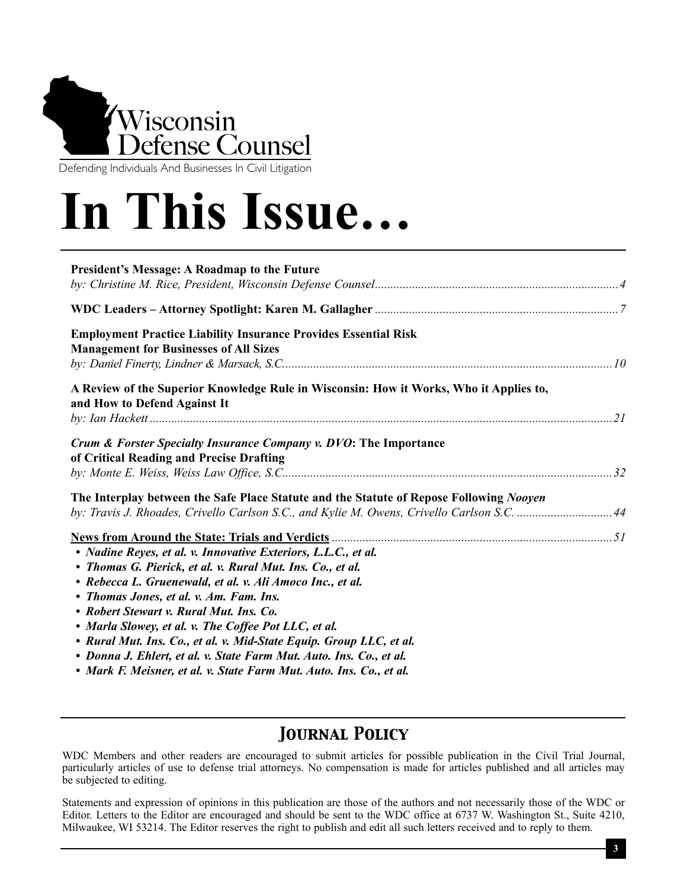

Defending Individuals And Businesses In Civil Litigation

# **In This Issue…**

| President's Message: A Roadmap to the Future                                                                                                                                                                                                                                                                                                                                                                                                                                                                                                                 |  |
|--------------------------------------------------------------------------------------------------------------------------------------------------------------------------------------------------------------------------------------------------------------------------------------------------------------------------------------------------------------------------------------------------------------------------------------------------------------------------------------------------------------------------------------------------------------|--|
|                                                                                                                                                                                                                                                                                                                                                                                                                                                                                                                                                              |  |
| <b>Employment Practice Liability Insurance Provides Essential Risk</b><br><b>Management for Businesses of All Sizes</b>                                                                                                                                                                                                                                                                                                                                                                                                                                      |  |
| A Review of the Superior Knowledge Rule in Wisconsin: How it Works, Who it Applies to,<br>and How to Defend Against It                                                                                                                                                                                                                                                                                                                                                                                                                                       |  |
| Crum & Forster Specialty Insurance Company v. DVO: The Importance<br>of Critical Reading and Precise Drafting                                                                                                                                                                                                                                                                                                                                                                                                                                                |  |
| The Interplay between the Safe Place Statute and the Statute of Repose Following Nooyen<br>by: Travis J. Rhoades, Crivello Carlson S.C., and Kylie M. Owens, Crivello Carlson S.C. 44                                                                                                                                                                                                                                                                                                                                                                        |  |
| • Nadine Reyes, et al. v. Innovative Exteriors, L.L.C., et al.<br>• Thomas G. Pierick, et al. v. Rural Mut. Ins. Co., et al.<br>• Rebecca L. Gruenewald, et al. v. Ali Amoco Inc., et al.<br>• Thomas Jones, et al. v. Am. Fam. Ins.<br>• Robert Stewart v. Rural Mut. Ins. Co.<br>• Marla Slowey, et al. v. The Coffee Pot LLC, et al.<br>• Rural Mut. Ins. Co., et al. v. Mid-State Equip. Group LLC, et al.<br>• Donna J. Ehlert, et al. v. State Farm Mut. Auto. Ins. Co., et al.<br>• Mark F. Meisner, et al. v. State Farm Mut. Auto. Ins. Co., et al. |  |

# *Journal Policy*

WDC Members and other readers are encouraged to submit articles for possible publication in the Civil Trial Journal, particularly articles of use to defense trial attorneys. No compensation is made for articles published and all articles may be subjected to editing.

Statements and expression of opinions in this publication are those of the authors and not necessarily those of the WDC or Editor. Letters to the Editor are encouraged and should be sent to the WDC office at 6737 W. Washington St., Suite 4210, Milwaukee, WI 53214. The Editor reserves the right to publish and edit all such letters received and to reply to them.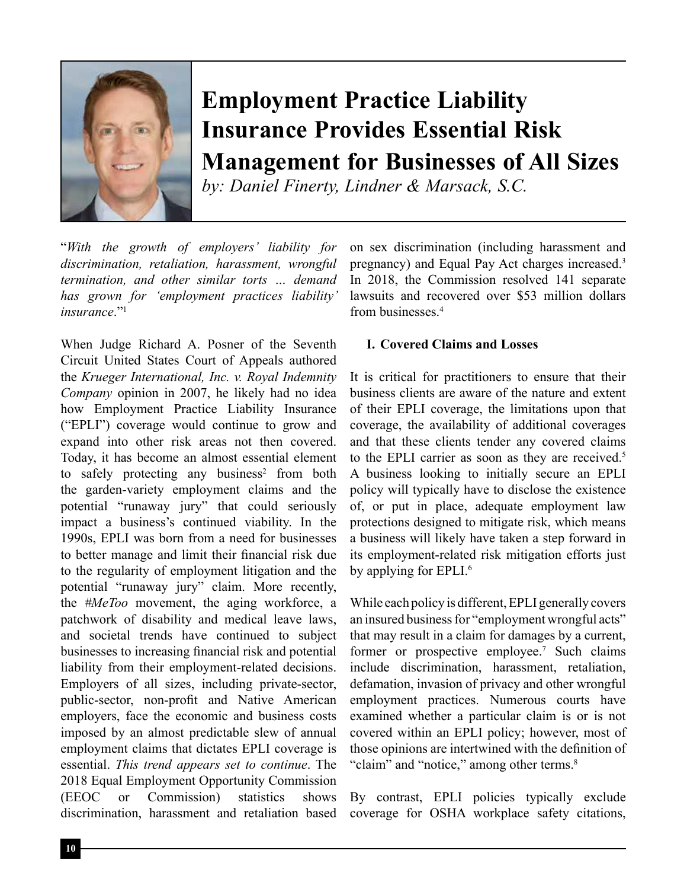

# **Employment Practice Liability Insurance Provides Essential Risk Management for Businesses of All Sizes**

*by: Daniel Finerty, Lindner & Marsack, S.C.*

"*With the growth of employers' liability for discrimination, retaliation, harassment, wrongful termination, and other similar torts … demand has grown for 'employment practices liability' insurance*."<sup>1</sup>

When Judge Richard A. Posner of the Seventh Circuit United States Court of Appeals authored the *Krueger International, Inc. v. Royal Indemnity Company* opinion in 2007, he likely had no idea how Employment Practice Liability Insurance ("EPLI") coverage would continue to grow and expand into other risk areas not then covered. Today, it has become an almost essential element to safely protecting any business<sup>2</sup> from both the garden-variety employment claims and the potential "runaway jury" that could seriously impact a business's continued viability. In the 1990s, EPLI was born from a need for businesses to better manage and limit their financial risk due to the regularity of employment litigation and the potential "runaway jury" claim. More recently, the *#MeToo* movement, the aging workforce, a patchwork of disability and medical leave laws, and societal trends have continued to subject businesses to increasing financial risk and potential liability from their employment-related decisions. Employers of all sizes, including private-sector, public-sector, non-profit and Native American employers, face the economic and business costs imposed by an almost predictable slew of annual employment claims that dictates EPLI coverage is essential. *This trend appears set to continue*. The 2018 Equal Employment Opportunity Commission (EEOC or Commission) statistics shows discrimination, harassment and retaliation based

on sex discrimination (including harassment and pregnancy) and Equal Pay Act charges increased.3 In 2018, the Commission resolved 141 separate lawsuits and recovered over \$53 million dollars from businesses<sup>4</sup>

#### **I. Covered Claims and Losses**

It is critical for practitioners to ensure that their business clients are aware of the nature and extent of their EPLI coverage, the limitations upon that coverage, the availability of additional coverages and that these clients tender any covered claims to the EPLI carrier as soon as they are received.<sup>5</sup> A business looking to initially secure an EPLI policy will typically have to disclose the existence of, or put in place, adequate employment law protections designed to mitigate risk, which means a business will likely have taken a step forward in its employment-related risk mitigation efforts just by applying for EPLI.<sup>6</sup>

While each policy is different, EPLI generally covers an insured business for "employment wrongful acts" that may result in a claim for damages by a current, former or prospective employee.<sup>7</sup> Such claims include discrimination, harassment, retaliation, defamation, invasion of privacy and other wrongful employment practices. Numerous courts have examined whether a particular claim is or is not covered within an EPLI policy; however, most of those opinions are intertwined with the definition of "claim" and "notice," among other terms.<sup>8</sup>

By contrast, EPLI policies typically exclude coverage for OSHA workplace safety citations,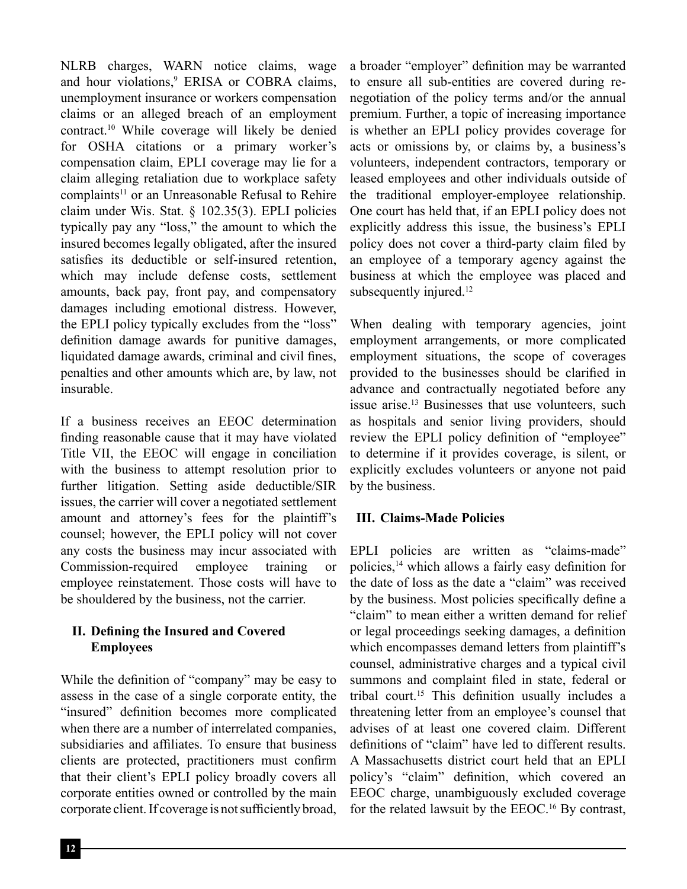NLRB charges, WARN notice claims, wage and hour violations,<sup>9</sup> ERISA or COBRA claims, unemployment insurance or workers compensation claims or an alleged breach of an employment contract.10 While coverage will likely be denied for OSHA citations or a primary worker's compensation claim, EPLI coverage may lie for a claim alleging retaliation due to workplace safety complaints<sup>11</sup> or an Unreasonable Refusal to Rehire claim under Wis. Stat. § 102.35(3). EPLI policies typically pay any "loss," the amount to which the insured becomes legally obligated, after the insured satisfies its deductible or self-insured retention, which may include defense costs, settlement amounts, back pay, front pay, and compensatory damages including emotional distress. However, the EPLI policy typically excludes from the "loss" definition damage awards for punitive damages, liquidated damage awards, criminal and civil fines, penalties and other amounts which are, by law, not insurable.

If a business receives an EEOC determination finding reasonable cause that it may have violated Title VII, the EEOC will engage in conciliation with the business to attempt resolution prior to further litigation. Setting aside deductible/SIR issues, the carrier will cover a negotiated settlement amount and attorney's fees for the plaintiff's counsel; however, the EPLI policy will not cover any costs the business may incur associated with Commission-required employee training or employee reinstatement. Those costs will have to be shouldered by the business, not the carrier.

# **II. Defining the Insured and Covered Employees**

While the definition of "company" may be easy to assess in the case of a single corporate entity, the "insured" definition becomes more complicated when there are a number of interrelated companies, subsidiaries and affiliates. To ensure that business clients are protected, practitioners must confirm that their client's EPLI policy broadly covers all corporate entities owned or controlled by the main corporate client. If coverage is not sufficiently broad,

a broader "employer" definition may be warranted to ensure all sub-entities are covered during renegotiation of the policy terms and/or the annual premium. Further, a topic of increasing importance is whether an EPLI policy provides coverage for acts or omissions by, or claims by, a business's volunteers, independent contractors, temporary or leased employees and other individuals outside of the traditional employer-employee relationship. One court has held that, if an EPLI policy does not explicitly address this issue, the business's EPLI policy does not cover a third-party claim filed by an employee of a temporary agency against the business at which the employee was placed and subsequently injured.<sup>12</sup>

When dealing with temporary agencies, joint employment arrangements, or more complicated employment situations, the scope of coverages provided to the businesses should be clarified in advance and contractually negotiated before any issue arise.<sup>13</sup> Businesses that use volunteers, such as hospitals and senior living providers, should review the EPLI policy definition of "employee" to determine if it provides coverage, is silent, or explicitly excludes volunteers or anyone not paid by the business.

## **III. Claims-Made Policies**

EPLI policies are written as "claims-made" policies,14 which allows a fairly easy definition for the date of loss as the date a "claim" was received by the business. Most policies specifically define a "claim" to mean either a written demand for relief or legal proceedings seeking damages, a definition which encompasses demand letters from plaintiff's counsel, administrative charges and a typical civil summons and complaint filed in state, federal or tribal court.<sup>15</sup> This definition usually includes a threatening letter from an employee's counsel that advises of at least one covered claim. Different definitions of "claim" have led to different results. A Massachusetts district court held that an EPLI policy's "claim" definition, which covered an EEOC charge, unambiguously excluded coverage for the related lawsuit by the EEOC.<sup>16</sup> By contrast,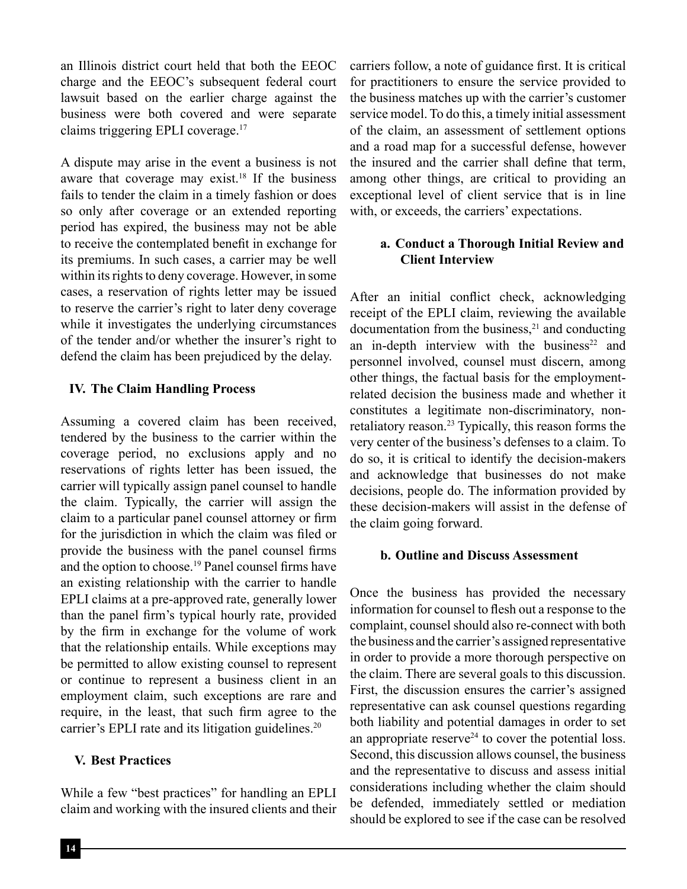an Illinois district court held that both the EEOC charge and the EEOC's subsequent federal court lawsuit based on the earlier charge against the business were both covered and were separate claims triggering EPLI coverage.17

A dispute may arise in the event a business is not aware that coverage may exist.<sup>18</sup> If the business fails to tender the claim in a timely fashion or does so only after coverage or an extended reporting period has expired, the business may not be able to receive the contemplated benefit in exchange for its premiums. In such cases, a carrier may be well within its rights to deny coverage. However, in some cases, a reservation of rights letter may be issued to reserve the carrier's right to later deny coverage while it investigates the underlying circumstances of the tender and/or whether the insurer's right to defend the claim has been prejudiced by the delay.

# **IV. The Claim Handling Process**

Assuming a covered claim has been received, tendered by the business to the carrier within the coverage period, no exclusions apply and no reservations of rights letter has been issued, the carrier will typically assign panel counsel to handle the claim. Typically, the carrier will assign the claim to a particular panel counsel attorney or firm for the jurisdiction in which the claim was filed or provide the business with the panel counsel firms and the option to choose.19 Panel counsel firms have an existing relationship with the carrier to handle EPLI claims at a pre-approved rate, generally lower than the panel firm's typical hourly rate, provided by the firm in exchange for the volume of work that the relationship entails. While exceptions may be permitted to allow existing counsel to represent or continue to represent a business client in an employment claim, such exceptions are rare and require, in the least, that such firm agree to the carrier's EPLI rate and its litigation guidelines.<sup>20</sup>

## **V. Best Practices**

While a few "best practices" for handling an EPLI claim and working with the insured clients and their carriers follow, a note of guidance first. It is critical for practitioners to ensure the service provided to the business matches up with the carrier's customer service model. To do this, a timely initial assessment of the claim, an assessment of settlement options and a road map for a successful defense, however the insured and the carrier shall define that term, among other things, are critical to providing an exceptional level of client service that is in line with, or exceeds, the carriers' expectations.

# **a. Conduct a Thorough Initial Review and Client Interview**

After an initial conflict check, acknowledging receipt of the EPLI claim, reviewing the available documentation from the business, $21$  and conducting an in-depth interview with the business $22$  and personnel involved, counsel must discern, among other things, the factual basis for the employmentrelated decision the business made and whether it constitutes a legitimate non-discriminatory, nonretaliatory reason.<sup>23</sup> Typically, this reason forms the very center of the business's defenses to a claim. To do so, it is critical to identify the decision-makers and acknowledge that businesses do not make decisions, people do. The information provided by these decision-makers will assist in the defense of the claim going forward.

## **b. Outline and Discuss Assessment**

Once the business has provided the necessary information for counsel to flesh out a response to the complaint, counsel should also re-connect with both the business and the carrier's assigned representative in order to provide a more thorough perspective on the claim. There are several goals to this discussion. First, the discussion ensures the carrier's assigned representative can ask counsel questions regarding both liability and potential damages in order to set an appropriate reserve<sup>24</sup> to cover the potential loss. Second, this discussion allows counsel, the business and the representative to discuss and assess initial considerations including whether the claim should be defended, immediately settled or mediation should be explored to see if the case can be resolved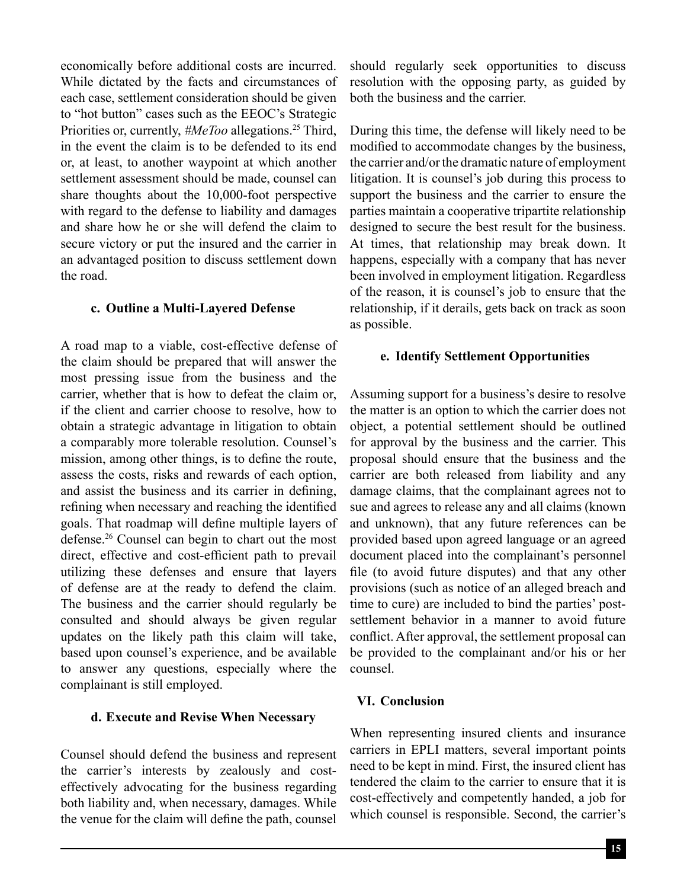economically before additional costs are incurred. While dictated by the facts and circumstances of each case, settlement consideration should be given to "hot button" cases such as the EEOC's Strategic Priorities or, currently, *#MeToo* allegations.<sup>25</sup> Third, in the event the claim is to be defended to its end or, at least, to another waypoint at which another settlement assessment should be made, counsel can share thoughts about the 10,000-foot perspective with regard to the defense to liability and damages and share how he or she will defend the claim to secure victory or put the insured and the carrier in an advantaged position to discuss settlement down the road.

#### **c. Outline a Multi-Layered Defense**

A road map to a viable, cost-effective defense of the claim should be prepared that will answer the most pressing issue from the business and the carrier, whether that is how to defeat the claim or, if the client and carrier choose to resolve, how to obtain a strategic advantage in litigation to obtain a comparably more tolerable resolution. Counsel's mission, among other things, is to define the route, assess the costs, risks and rewards of each option, and assist the business and its carrier in defining, refining when necessary and reaching the identified goals. That roadmap will define multiple layers of defense.26 Counsel can begin to chart out the most direct, effective and cost-efficient path to prevail utilizing these defenses and ensure that layers of defense are at the ready to defend the claim. The business and the carrier should regularly be consulted and should always be given regular updates on the likely path this claim will take, based upon counsel's experience, and be available to answer any questions, especially where the complainant is still employed.

#### **d. Execute and Revise When Necessary**

Counsel should defend the business and represent the carrier's interests by zealously and costeffectively advocating for the business regarding both liability and, when necessary, damages. While the venue for the claim will define the path, counsel

should regularly seek opportunities to discuss resolution with the opposing party, as guided by both the business and the carrier.

During this time, the defense will likely need to be modified to accommodate changes by the business, the carrier and/or the dramatic nature of employment litigation. It is counsel's job during this process to support the business and the carrier to ensure the parties maintain a cooperative tripartite relationship designed to secure the best result for the business. At times, that relationship may break down. It happens, especially with a company that has never been involved in employment litigation. Regardless of the reason, it is counsel's job to ensure that the relationship, if it derails, gets back on track as soon as possible.

#### **e. Identify Settlement Opportunities**

Assuming support for a business's desire to resolve the matter is an option to which the carrier does not object, a potential settlement should be outlined for approval by the business and the carrier. This proposal should ensure that the business and the carrier are both released from liability and any damage claims, that the complainant agrees not to sue and agrees to release any and all claims (known and unknown), that any future references can be provided based upon agreed language or an agreed document placed into the complainant's personnel file (to avoid future disputes) and that any other provisions (such as notice of an alleged breach and time to cure) are included to bind the parties' postsettlement behavior in a manner to avoid future conflict. After approval, the settlement proposal can be provided to the complainant and/or his or her counsel.

# **VI. Conclusion**

When representing insured clients and insurance carriers in EPLI matters, several important points need to be kept in mind. First, the insured client has tendered the claim to the carrier to ensure that it is cost-effectively and competently handed, a job for which counsel is responsible. Second, the carrier's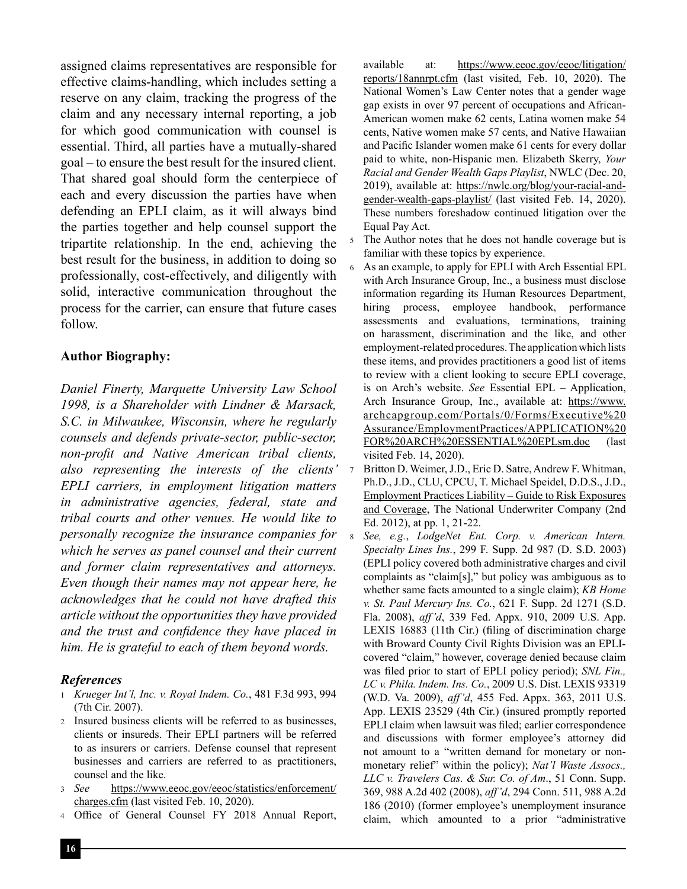assigned claims representatives are responsible for effective claims-handling, which includes setting a reserve on any claim, tracking the progress of the claim and any necessary internal reporting, a job for which good communication with counsel is essential. Third, all parties have a mutually-shared goal – to ensure the best result for the insured client. That shared goal should form the centerpiece of each and every discussion the parties have when defending an EPLI claim, as it will always bind the parties together and help counsel support the tripartite relationship. In the end, achieving the best result for the business, in addition to doing so professionally, cost-effectively, and diligently with solid, interactive communication throughout the process for the carrier, can ensure that future cases follow.

#### **Author Biography:**

*Daniel Finerty, Marquette University Law School 1998, is a Shareholder with Lindner & Marsack, S.C. in Milwaukee, Wisconsin, where he regularly counsels and defends private-sector, public-sector, non-profit and Native American tribal clients, also representing the interests of the clients' EPLI carriers, in employment litigation matters in administrative agencies, federal, state and tribal courts and other venues. He would like to personally recognize the insurance companies for which he serves as panel counsel and their current and former claim representatives and attorneys. Even though their names may not appear here, he acknowledges that he could not have drafted this article without the opportunities they have provided and the trust and confidence they have placed in him. He is grateful to each of them beyond words.*

## *References*

- <sup>1</sup> *Krueger Int'l, Inc. v. Royal Indem. Co.*, 481 F.3d 993, 994 (7th Cir. 2007).
- <sup>2</sup> Insured business clients will be referred to as businesses, clients or insureds. Their EPLI partners will be referred to as insurers or carriers. Defense counsel that represent businesses and carriers are referred to as practitioners, counsel and the like.
- <sup>3</sup> *See* https://www.eeoc.gov/eeoc/statistics/enforcement/ charges.cfm (last visited Feb. 10, 2020).
- <sup>4</sup> Office of General Counsel FY 2018 Annual Report,

available at: https://www.eeoc.gov/eeoc/litigation/ reports/18annrpt.cfm (last visited, Feb. 10, 2020). The National Women's Law Center notes that a gender wage gap exists in over 97 percent of occupations and African-American women make 62 cents, Latina women make 54 cents, Native women make 57 cents, and Native Hawaiian and Pacific Islander women make 61 cents for every dollar paid to white, non-Hispanic men. Elizabeth Skerry, *Your Racial and Gender Wealth Gaps Playlist*, NWLC (Dec. 20, 2019), available at: https://nwlc.org/blog/your-racial-andgender-wealth-gaps-playlist/ (last visited Feb. 14, 2020). These numbers foreshadow continued litigation over the Equal Pay Act.

- The Author notes that he does not handle coverage but is familiar with these topics by experience.
- As an example, to apply for EPLI with Arch Essential EPL with Arch Insurance Group, Inc., a business must disclose information regarding its Human Resources Department, hiring process, employee handbook, performance assessments and evaluations, terminations, training on harassment, discrimination and the like, and other employment-related procedures. The application which lists these items, and provides practitioners a good list of items to review with a client looking to secure EPLI coverage, is on Arch's website. *See* Essential EPL – Application, Arch Insurance Group, Inc., available at: https://www. archcapgroup.com/Portals/0/Forms/Executive%20 Assurance/EmploymentPractices/APPLICATION%20 FOR%20ARCH%20ESSENTIAL%20EPLsm.doc (last visited Feb. 14, 2020).
- <sup>7</sup> Britton D. Weimer, J.D., Eric D. Satre, Andrew F. Whitman, Ph.D., J.D., CLU, CPCU, T. Michael Speidel, D.D.S., J.D., Employment Practices Liability – Guide to Risk Exposures and Coverage, The National Underwriter Company (2nd Ed. 2012), at pp. 1, 21-22.
- <sup>8</sup> *See, e.g.*, *LodgeNet Ent. Corp. v. American Intern. Specialty Lines Ins.*, 299 F. Supp. 2d 987 (D. S.D. 2003) (EPLI policy covered both administrative charges and civil complaints as "claim[s]," but policy was ambiguous as to whether same facts amounted to a single claim); *KB Home v. St. Paul Mercury Ins. Co.*, 621 F. Supp. 2d 1271 (S.D. Fla. 2008), *aff'd*, 339 Fed. Appx. 910, 2009 U.S. App. LEXIS 16883 (11th Cir.) (filing of discrimination charge with Broward County Civil Rights Division was an EPLIcovered "claim," however, coverage denied because claim was filed prior to start of EPLI policy period); *SNL Fin., LC v. Phila. Indem. Ins. Co.*, 2009 U.S. Dist. LEXIS 93319 (W.D. Va. 2009), *aff'd*, 455 Fed. Appx. 363, 2011 U.S. App. LEXIS 23529 (4th Cir.) (insured promptly reported EPLI claim when lawsuit was filed; earlier correspondence and discussions with former employee's attorney did not amount to a "written demand for monetary or nonmonetary relief" within the policy); *Nat'l Waste Assocs., LLC v. Travelers Cas. & Sur. Co. of Am*., 51 Conn. Supp. 369, 988 A.2d 402 (2008), *aff'd*, 294 Conn. 511, 988 A.2d 186 (2010) (former employee's unemployment insurance claim, which amounted to a prior "administrative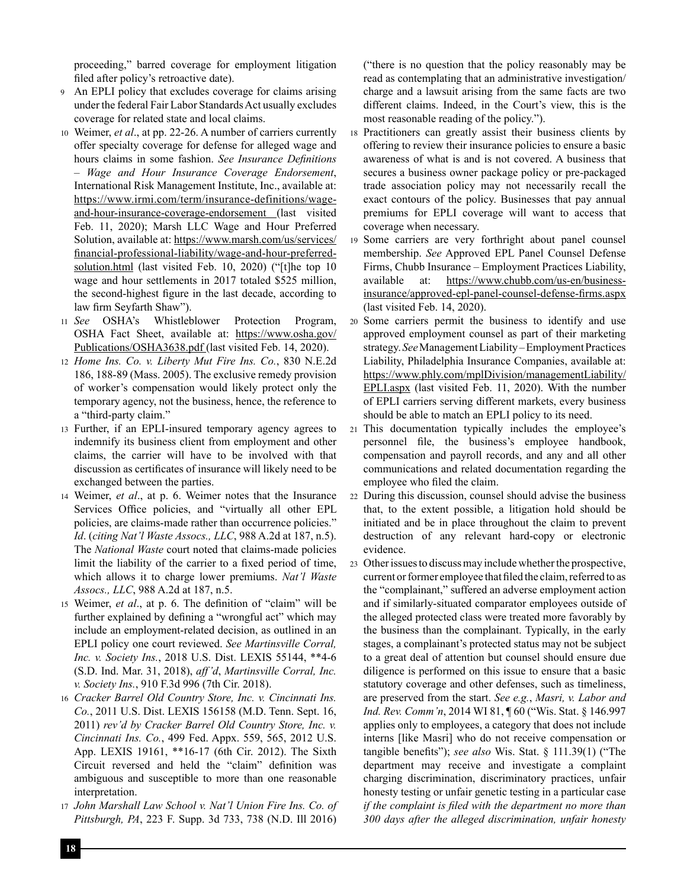proceeding," barred coverage for employment litigation filed after policy's retroactive date).

- <sup>9</sup> An EPLI policy that excludes coverage for claims arising under the federal Fair Labor Standards Act usually excludes coverage for related state and local claims.
- <sup>10</sup> Weimer, *et al*., at pp. 22-26. A number of carriers currently offer specialty coverage for defense for alleged wage and hours claims in some fashion. *See Insurance Definitions – Wage and Hour Insurance Coverage Endorsement*, International Risk Management Institute, Inc., available at: https://www.irmi.com/term/insurance-definitions/wageand-hour-insurance-coverage-endorsement (last visited Feb. 11, 2020); Marsh LLC Wage and Hour Preferred Solution, available at: https://www.marsh.com/us/services/ financial-professional-liability/wage-and-hour-preferredsolution.html (last visited Feb. 10, 2020) ("[t]he top 10 wage and hour settlements in 2017 totaled \$525 million, the second-highest figure in the last decade, according to law firm Seyfarth Shaw").
- <sup>11</sup> *See* OSHA's Whistleblower Protection Program, OSHA Fact Sheet, available at: https://www.osha.gov/ Publications/OSHA3638.pdf (last visited Feb. 14, 2020).
- <sup>12</sup> *Home Ins. Co. v. Liberty Mut Fire Ins. Co.*, 830 N.E.2d 186, 188-89 (Mass. 2005). The exclusive remedy provision of worker's compensation would likely protect only the temporary agency, not the business, hence, the reference to a "third-party claim."
- <sup>13</sup> Further, if an EPLI-insured temporary agency agrees to indemnify its business client from employment and other claims, the carrier will have to be involved with that discussion as certificates of insurance will likely need to be exchanged between the parties.
- <sup>14</sup> Weimer, *et al*., at p. 6. Weimer notes that the Insurance Services Office policies, and "virtually all other EPL policies, are claims-made rather than occurrence policies." *Id*. (*citing Nat'l Waste Assocs., LLC*, 988 A.2d at 187, n.5). The *National Waste* court noted that claims-made policies limit the liability of the carrier to a fixed period of time, which allows it to charge lower premiums. *Nat'l Waste Assocs., LLC*, 988 A.2d at 187, n.5.
- <sup>15</sup> Weimer, *et al*., at p. 6. The definition of "claim" will be further explained by defining a "wrongful act" which may include an employment-related decision, as outlined in an EPLI policy one court reviewed. *See Martinsville Corral, Inc. v. Society Ins.*, 2018 U.S. Dist. LEXIS 55144, \*\*4-6 (S.D. Ind. Mar. 31, 2018), *aff'd*, *Martinsville Corral, Inc. v. Society Ins.*, 910 F.3d 996 (7th Cir. 2018).
- <sup>16</sup> *Cracker Barrel Old Country Store, Inc. v. Cincinnati Ins. Co.*, 2011 U.S. Dist. LEXIS 156158 (M.D. Tenn. Sept. 16, 2011) *rev'd by Cracker Barrel Old Country Store, Inc. v. Cincinnati Ins. Co.*, 499 Fed. Appx. 559, 565, 2012 U.S. App. LEXIS 19161, \*\*16-17 (6th Cir. 2012). The Sixth Circuit reversed and held the "claim" definition was ambiguous and susceptible to more than one reasonable interpretation.
- <sup>17</sup> *John Marshall Law School v. Nat'l Union Fire Ins. Co. of Pittsburgh, PA*, 223 F. Supp. 3d 733, 738 (N.D. Ill 2016)

("there is no question that the policy reasonably may be read as contemplating that an administrative investigation/ charge and a lawsuit arising from the same facts are two different claims. Indeed, in the Court's view, this is the most reasonable reading of the policy.").

- <sup>18</sup> Practitioners can greatly assist their business clients by offering to review their insurance policies to ensure a basic awareness of what is and is not covered. A business that secures a business owner package policy or pre-packaged trade association policy may not necessarily recall the exact contours of the policy. Businesses that pay annual premiums for EPLI coverage will want to access that coverage when necessary.
- <sup>19</sup> Some carriers are very forthright about panel counsel membership. *See* Approved EPL Panel Counsel Defense Firms, Chubb Insurance – Employment Practices Liability, available at: https://www.chubb.com/us-en/businessinsurance/approved-epl-panel-counsel-defense-firms.aspx (last visited Feb. 14, 2020).
- <sup>20</sup> Some carriers permit the business to identify and use approved employment counsel as part of their marketing strategy. *See* Management Liability – Employment Practices Liability, Philadelphia Insurance Companies, available at: https://www.phly.com/mplDivision/managementLiability/ EPLI.aspx (last visited Feb. 11, 2020). With the number of EPLI carriers serving different markets, every business should be able to match an EPLI policy to its need.
- <sup>21</sup> This documentation typically includes the employee's personnel file, the business's employee handbook, compensation and payroll records, and any and all other communications and related documentation regarding the employee who filed the claim.
- <sup>22</sup> During this discussion, counsel should advise the business that, to the extent possible, a litigation hold should be initiated and be in place throughout the claim to prevent destruction of any relevant hard-copy or electronic evidence.
- <sup>23</sup> Other issues to discuss may include whether the prospective, current or former employee that filed the claim, referred to as the "complainant," suffered an adverse employment action and if similarly-situated comparator employees outside of the alleged protected class were treated more favorably by the business than the complainant. Typically, in the early stages, a complainant's protected status may not be subject to a great deal of attention but counsel should ensure due diligence is performed on this issue to ensure that a basic statutory coverage and other defenses, such as timeliness, are preserved from the start. *See e.g.*, *Masri, v. Labor and Ind. Rev. Comm'n*, 2014 WI 81, ¶ 60 ("Wis. Stat. § 146.997 applies only to employees, a category that does not include interns [like Masri] who do not receive compensation or tangible benefits"); *see also* Wis. Stat. § 111.39(1) ("The department may receive and investigate a complaint charging discrimination, discriminatory practices, unfair honesty testing or unfair genetic testing in a particular case *if the complaint is filed with the department no more than 300 days after the alleged discrimination, unfair honesty*